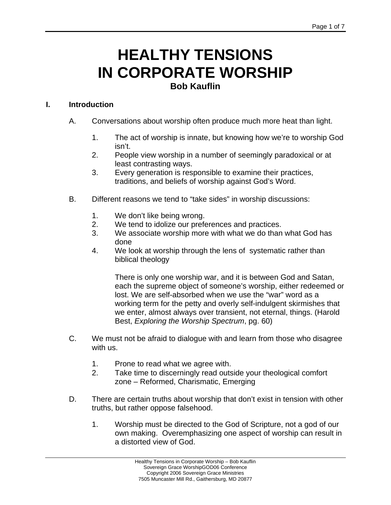## **HEALTHY TENSIONS IN CORPORATE WORSHIP Bob Kauflin**

## **I. Introduction**

- A. Conversations about worship often produce much more heat than light.
	- 1. The act of worship is innate, but knowing how we're to worship God isn't.
	- 2. People view worship in a number of seemingly paradoxical or at least contrasting ways.
	- 3. Every generation is responsible to examine their practices, traditions, and beliefs of worship against God's Word.
- B. Different reasons we tend to "take sides" in worship discussions:
	- 1. We don't like being wrong.
	- 2. We tend to idolize our preferences and practices.
	- 3. We associate worship more with what we do than what God has done
	- 4. We look at worship through the lens of systematic rather than biblical theology

There is only one worship war, and it is between God and Satan, each the supreme object of someone's worship, either redeemed or lost. We are self-absorbed when we use the "war" word as a working term for the petty and overly self-indulgent skirmishes that we enter, almost always over transient, not eternal, things. (Harold Best, *Exploring the Worship Spectrum*, pg. 60)

- C. We must not be afraid to dialogue with and learn from those who disagree with us.
	- 1. Prone to read what we agree with.
	- 2. Take time to discerningly read outside your theological comfort zone – Reformed, Charismatic, Emerging
- D. There are certain truths about worship that don't exist in tension with other truths, but rather oppose falsehood.
	- 1. Worship must be directed to the God of Scripture, not a god of our own making. Overemphasizing one aspect of worship can result in a distorted view of God.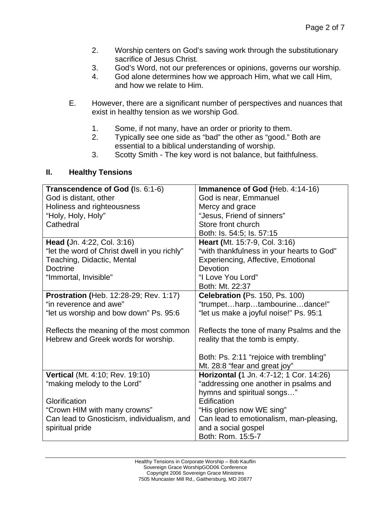- 2. Worship centers on God's saving work through the substitutionary sacrifice of Jesus Christ.
- 3. God's Word, not our preferences or opinions, governs our worship.
- 4. God alone determines how we approach Him, what we call Him, and how we relate to Him.
- E. However, there are a significant number of perspectives and nuances that exist in healthy tension as we worship God.
	- 1. Some, if not many, have an order or priority to them.
	- 2. Typically see one side as "bad" the other as "good." Both are essential to a biblical understanding of worship.
	- 3. Scotty Smith The key word is not balance, but faithfulness.

## **II. Healthy Tensions**

| Transcendence of God (Is. 6:1-6)             | Immanence of God (Heb. 4:14-16)           |
|----------------------------------------------|-------------------------------------------|
| God is distant, other                        | God is near, Emmanuel                     |
| Holiness and righteousness                   | Mercy and grace                           |
| "Holy, Holy, Holy"                           | "Jesus, Friend of sinners"                |
| Cathedral                                    | Store front church                        |
|                                              | Both: Is. 54:5; Is. 57:15                 |
| Head (Jn. 4:22, Col. 3:16)                   | Heart (Mt. 15:7-9, Col. 3:16)             |
| "let the word of Christ dwell in you richly" | "with thankfulness in your hearts to God" |
| Teaching, Didactic, Mental                   | Experiencing, Affective, Emotional        |
| <b>Doctrine</b>                              | Devotion                                  |
| "Immortal, Invisible"                        | "I Love You Lord"                         |
|                                              | Both: Mt. 22:37                           |
| Prostration (Heb. 12:28-29; Rev. 1:17)       | Celebration (Ps. 150, Ps. 100)            |
| "in reverence and awe"                       | "trumpetharptambourinedance!"             |
| "let us worship and bow down" Ps. 95:6       | "let us make a joyful noise!" Ps. 95:1    |
| Reflects the meaning of the most common      | Reflects the tone of many Psalms and the  |
| Hebrew and Greek words for worship.          | reality that the tomb is empty.           |
|                                              | Both: Ps. 2:11 "rejoice with trembling"   |
|                                              | Mt. 28:8 "fear and great joy"             |
| Vertical (Mt. 4:10; Rev. 19:10)              | Horizontal (1 Jn. 4:7-12; 1 Cor. 14:26)   |
| "making melody to the Lord"                  | "addressing one another in psalms and     |
|                                              | hymns and spiritual songs"                |
| Glorification                                | Edification                               |
| "Crown HIM with many crowns"                 | "His glories now WE sing"                 |
| Can lead to Gnosticism, individualism, and   | Can lead to emotionalism, man-pleasing,   |
| spiritual pride                              | and a social gospel                       |
|                                              | Both: Rom. 15:5-7                         |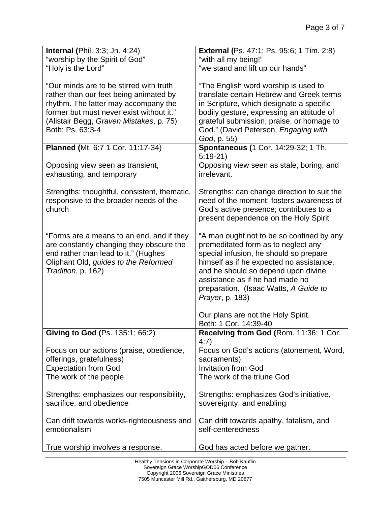| <b>Internal (Phil. 3:3; Jn. 4:24)</b>                                                                                                                                                                                                | <b>External (Ps. 47:1; Ps. 95:6; 1 Tim. 2:8)</b>                                                                                                                                                                                                                                                                     |
|--------------------------------------------------------------------------------------------------------------------------------------------------------------------------------------------------------------------------------------|----------------------------------------------------------------------------------------------------------------------------------------------------------------------------------------------------------------------------------------------------------------------------------------------------------------------|
| "worship by the Spirit of God"                                                                                                                                                                                                       | "with all my being!"                                                                                                                                                                                                                                                                                                 |
| "Holy is the Lord"                                                                                                                                                                                                                   | "we stand and lift up our hands"                                                                                                                                                                                                                                                                                     |
| "Our minds are to be stirred with truth<br>rather than our feet being animated by<br>rhythm. The latter may accompany the<br>former but must never exist without it."<br>(Alistair Begg, Graven Mistakes, p. 75)<br>Both: Ps. 63:3-4 | "The English word worship is used to<br>translate certain Hebrew and Greek terms<br>in Scripture, which designate a specific<br>bodily gesture, expressing an attitude of<br>grateful submission, praise, or homage to<br>God." (David Peterson, Engaging with<br>God, p. 55)                                        |
| Planned (Mt. 6:7 1 Cor. 11:17-34)                                                                                                                                                                                                    | Spontaneous (1 Cor. 14:29-32; 1 Th.                                                                                                                                                                                                                                                                                  |
| Opposing view seen as transient,<br>exhausting, and temporary                                                                                                                                                                        | $5:19-21$<br>Opposing view seen as stale, boring, and<br>irrelevant.                                                                                                                                                                                                                                                 |
| Strengths: thoughtful, consistent, thematic,<br>responsive to the broader needs of the<br>church                                                                                                                                     | Strengths: can change direction to suit the<br>need of the moment; fosters awareness of<br>God's active presence; contributes to a<br>present dependence on the Holy Spirit                                                                                                                                          |
| "Forms are a means to an end, and if they<br>are constantly changing they obscure the<br>end rather than lead to it." (Hughes<br>Oliphant Old, guides to the Reformed<br>Tradition, p. 162)                                          | "A man ought not to be so confined by any<br>premeditated form as to neglect any<br>special infusion, he should so prepare<br>himself as if he expected no assistance,<br>and he should so depend upon divine<br>assistance as if he had made no<br>preparation. (Isaac Watts, A Guide to<br><i>Prayer</i> , p. 183) |
|                                                                                                                                                                                                                                      | Our plans are not the Holy Spirit.<br>Both: 1 Cor. 14:39-40                                                                                                                                                                                                                                                          |
| Giving to God (Ps. 135:1; 66:2)                                                                                                                                                                                                      | Receiving from God (Rom. 11:36; 1 Cor.<br>4:7)                                                                                                                                                                                                                                                                       |
| Focus on our actions (praise, obedience,                                                                                                                                                                                             | Focus on God's actions (atonement, Word,                                                                                                                                                                                                                                                                             |
| offerings, gratefulness)                                                                                                                                                                                                             | sacraments)                                                                                                                                                                                                                                                                                                          |
| <b>Expectation from God</b>                                                                                                                                                                                                          | <b>Invitation from God</b>                                                                                                                                                                                                                                                                                           |
| The work of the people                                                                                                                                                                                                               | The work of the triune God                                                                                                                                                                                                                                                                                           |
| Strengths: emphasizes our responsibility,<br>sacrifice, and obedience                                                                                                                                                                | Strengths: emphasizes God's initiative,<br>sovereignty, and enabling                                                                                                                                                                                                                                                 |
| Can drift towards works-righteousness and<br>emotionalism                                                                                                                                                                            | Can drift towards apathy, fatalism, and<br>self-centeredness                                                                                                                                                                                                                                                         |
| True worship involves a response.                                                                                                                                                                                                    | God has acted before we gather.                                                                                                                                                                                                                                                                                      |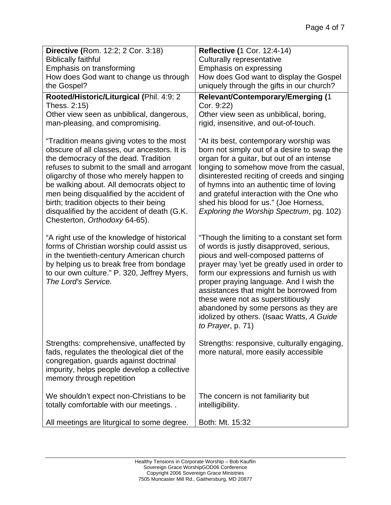| Directive (Rom. 12:2; 2 Cor. 3:18)                                                                                                                                                                                                                                                                                                                                                                                                               | <b>Reflective (1 Cor. 12:4-14)</b>                                                                                                                                                                                                                                                                                                                                                                                                                              |
|--------------------------------------------------------------------------------------------------------------------------------------------------------------------------------------------------------------------------------------------------------------------------------------------------------------------------------------------------------------------------------------------------------------------------------------------------|-----------------------------------------------------------------------------------------------------------------------------------------------------------------------------------------------------------------------------------------------------------------------------------------------------------------------------------------------------------------------------------------------------------------------------------------------------------------|
| <b>Biblically faithful</b>                                                                                                                                                                                                                                                                                                                                                                                                                       | <b>Culturally representative</b>                                                                                                                                                                                                                                                                                                                                                                                                                                |
| Emphasis on transforming                                                                                                                                                                                                                                                                                                                                                                                                                         | Emphasis on expressing                                                                                                                                                                                                                                                                                                                                                                                                                                          |
| How does God want to change us through                                                                                                                                                                                                                                                                                                                                                                                                           | How does God want to display the Gospel                                                                                                                                                                                                                                                                                                                                                                                                                         |
| the Gospel?                                                                                                                                                                                                                                                                                                                                                                                                                                      | uniquely through the gifts in our church?                                                                                                                                                                                                                                                                                                                                                                                                                       |
| Rooted/Historic/Liturgical (Phil. 4:9; 2<br>Thess. 2:15)                                                                                                                                                                                                                                                                                                                                                                                         | <b>Relevant/Contemporary/Emerging (1</b><br>Cor. 9:22)                                                                                                                                                                                                                                                                                                                                                                                                          |
| Other view seen as unbiblical, dangerous,                                                                                                                                                                                                                                                                                                                                                                                                        | Other view seen as unbiblical, boring,                                                                                                                                                                                                                                                                                                                                                                                                                          |
| man-pleasing, and compromising.                                                                                                                                                                                                                                                                                                                                                                                                                  | rigid, insensitive, and out-of-touch.                                                                                                                                                                                                                                                                                                                                                                                                                           |
| "Tradition means giving votes to the most<br>obscure of all classes, our ancestors. It is<br>the democracy of the dead. Tradition<br>refuses to submit to the small and arrogant<br>oligarchy of those who merely happen to<br>be walking about. All democrats object to<br>men being disqualified by the accident of<br>birth; tradition objects to their being<br>disqualified by the accident of death (G.K.<br>Chesterton, Orthodoxy 64-65). | "At its best, contemporary worship was<br>born not simply out of a desire to swap the<br>organ for a guitar, but out of an intense<br>longing to somehow move from the casual,<br>disinterested reciting of creeds and singing<br>of hymns into an authentic time of loving<br>and grateful interaction with the One who<br>shed his blood for us." (Joe Horness,<br>Exploring the Worship Spectrum, pg. 102)                                                   |
| "A right use of the knowledge of historical<br>forms of Christian worship could assist us<br>in the twentieth-century American church<br>by helping us to break free from bondage<br>to our own culture." P. 320, Jeffrey Myers,<br>The Lord's Service.                                                                                                                                                                                          | "Though the limiting to a constant set form<br>of words is justly disapproved, serious,<br>pious and well-composed patterns of<br>prayer may \yet be greatly used in order to<br>form our expressions and furnish us with<br>proper praying language. And I wish the<br>assistances that might be borrowed from<br>these were not as superstitiously<br>abandoned by some persons as they are<br>idolized by others. (Isaac Watts, A Guide<br>to Prayer, p. 71) |
| Strengths: comprehensive, unaffected by<br>fads, regulates the theological diet of the<br>congregation, guards against doctrinal<br>impurity, helps people develop a collective<br>memory through repetition                                                                                                                                                                                                                                     | Strengths: responsive, culturally engaging,<br>more natural, more easily accessible                                                                                                                                                                                                                                                                                                                                                                             |
| We shouldn't expect non-Christians to be<br>totally comfortable with our meetings                                                                                                                                                                                                                                                                                                                                                                | The concern is not familiarity but<br>intelligibility.                                                                                                                                                                                                                                                                                                                                                                                                          |
| All meetings are liturgical to some degree.                                                                                                                                                                                                                                                                                                                                                                                                      | Both: Mt. 15:32                                                                                                                                                                                                                                                                                                                                                                                                                                                 |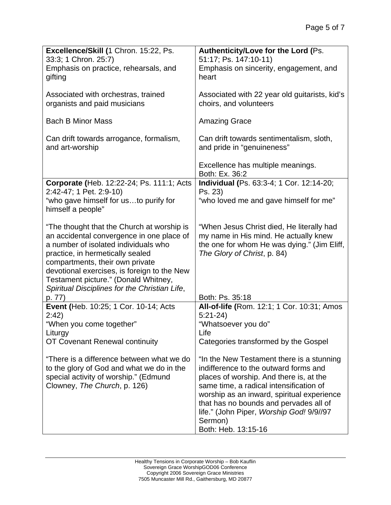| Excellence/Skill (1 Chron. 15:22, Ps.<br>33:3; 1 Chron. 25:7)                           | Authenticity/Love for the Lord (Ps.<br>51:17; Ps. 147:10-11)                          |
|-----------------------------------------------------------------------------------------|---------------------------------------------------------------------------------------|
| Emphasis on practice, rehearsals, and<br>gifting                                        | Emphasis on sincerity, engagement, and<br>heart                                       |
| Associated with orchestras, trained<br>organists and paid musicians                     | Associated with 22 year old guitarists, kid's<br>choirs, and volunteers               |
| <b>Bach B Minor Mass</b>                                                                | <b>Amazing Grace</b>                                                                  |
| Can drift towards arrogance, formalism,<br>and art-worship                              | Can drift towards sentimentalism, sloth,<br>and pride in "genuineness"                |
|                                                                                         | Excellence has multiple meanings.<br>Both: Ex. 36:2                                   |
| Corporate (Heb. 12:22-24; Ps. 111:1; Acts<br>2:42-47; 1 Pet. 2:9-10)                    | Individual (Ps. 63:3-4; 1 Cor. 12:14-20;<br>Ps. 23)                                   |
| "who gave himself for usto purify for<br>himself a people"                              | "who loved me and gave himself for me"                                                |
| "The thought that the Church at worship is<br>an accidental convergence in one place of | "When Jesus Christ died, He literally had<br>my name in His mind. He actually knew    |
| a number of isolated individuals who                                                    | the one for whom He was dying." (Jim Eliff,                                           |
| practice, in hermetically sealed<br>compartments, their own private                     | The Glory of Christ, p. 84)                                                           |
| devotional exercises, is foreign to the New<br>Testament picture." (Donald Whitney,     |                                                                                       |
| Spiritual Disciplines for the Christian Life,<br>p. 77)                                 | Both: Ps. 35:18                                                                       |
| Event (Heb. 10:25; 1 Cor. 10-14; Acts<br>2:42)                                          | All-of-life (Rom. 12:1; 1 Cor. 10:31; Amos<br>$5:21-24$                               |
| "When you come together"                                                                | "Whatsoever you do"                                                                   |
| Liturgy<br>OT Covenant Renewal continuity                                               | Life<br>Categories transformed by the Gospel                                          |
| "There is a difference between what we do                                               | "In the New Testament there is a stunning"                                            |
| to the glory of God and what we do in the<br>special activity of worship." (Edmund      | indifference to the outward forms and<br>places of worship. And there is, at the      |
| Clowney, The Church, p. 126)                                                            | same time, a radical intensification of<br>worship as an inward, spiritual experience |
|                                                                                         | that has no bounds and pervades all of<br>life." (John Piper, Worship God! 9/9//97    |
|                                                                                         | Sermon)<br>Both: Heb. 13:15-16                                                        |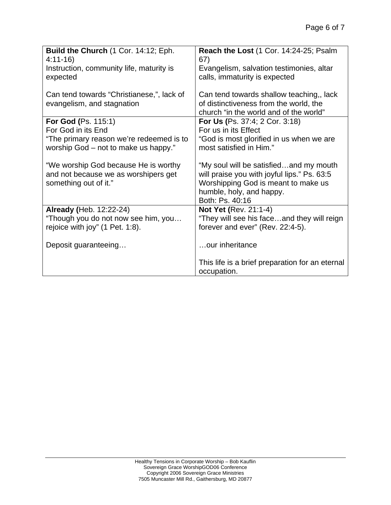| Build the Church (1 Cor. 14:12; Eph.<br>$4:11-16$<br>Instruction, community life, maturity is | <b>Reach the Lost (1 Cor. 14:24-25; Psalm</b><br>67)<br>Evangelism, salvation testimonies, altar |
|-----------------------------------------------------------------------------------------------|--------------------------------------------------------------------------------------------------|
| expected                                                                                      | calls, immaturity is expected                                                                    |
| Can tend towards "Christianese,", lack of<br>evangelism, and stagnation                       | Can tend towards shallow teaching,, lack<br>of distinctiveness from the world, the               |
|                                                                                               | church "in the world and of the world"                                                           |
| <b>For God (Ps. 115:1)</b>                                                                    | For Us (Ps. 37:4; 2 Cor. 3:18)                                                                   |
| For God in its End                                                                            | For us in its Effect                                                                             |
| "The primary reason we're redeemed is to                                                      | "God is most glorified in us when we are                                                         |
| worship God - not to make us happy."                                                          | most satisfied in Him."                                                                          |
| "We worship God because He is worthy                                                          | "My soul will be satisfiedand my mouth                                                           |
| and not because we as worshipers get                                                          | will praise you with joyful lips." Ps. 63:5                                                      |
| something out of it."                                                                         | Worshipping God is meant to make us                                                              |
|                                                                                               | humble, holy, and happy.                                                                         |
|                                                                                               | Both: Ps. 40:16                                                                                  |
| <b>Already (Heb. 12:22-24)</b>                                                                | <b>Not Yet (Rev. 21:1-4)</b>                                                                     |
| "Though you do not now see him, you                                                           | "They will see his faceand they will reign                                                       |
| rejoice with joy" (1 Pet. 1:8).                                                               | forever and ever" (Rev. 22:4-5).                                                                 |
| Deposit guaranteeing                                                                          | our inheritance                                                                                  |
|                                                                                               | This life is a brief preparation for an eternal<br>occupation.                                   |